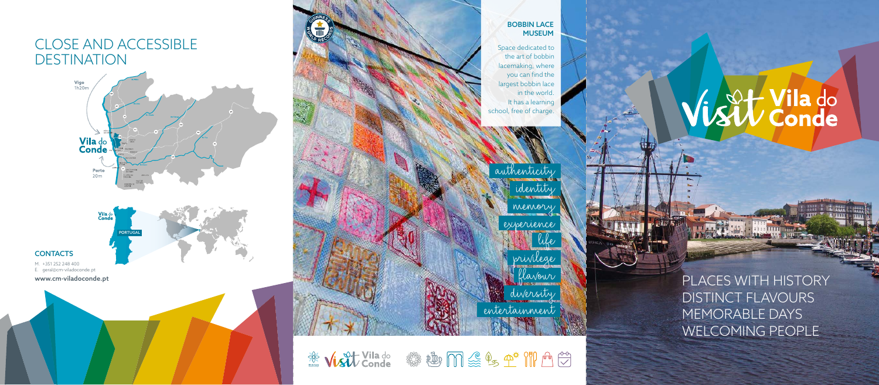PLACES WITH HISTORY DISTINCT FLAVOURS MEMORABLE DAYS WELCOMING PEOPLE

Space dedicated to the art of bobbin lacemaking, where you can find the largest bobbin lace in the world. It has a learning school, free of charge.

M. +351 252 248 400 E. geral@cm-viladoconde.pt

www.cm-viladoconde.pt



authenticity identity

memory

experience

life privilege flavour

diversity entertainment

※ Visit Vilado « 變 心 m 《 9 全 ) / [ 1 0 台

# Vist Vila do

# CLOSE AND ACCESSIBLE DESTINATION





## **CONTACTS**

BOBBIN LACE MUSEUM